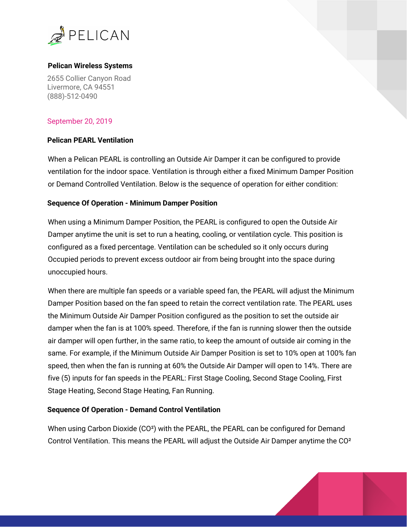

### **Pelican Wireless Systems**

2655 Collier Canyon Road Livermore, CA 94551 (888)-512-0490

# September 20, 2019

## **Pelican PEARL Ventilation**

When a Pelican PEARL is controlling an Outside Air Damper it can be configured to provide ventilation for the indoor space. Ventilation is through either a fixed Minimum Damper Position or Demand Controlled Ventilation. Below is the sequence of operation for either condition:

### **Sequence Of Operation - Minimum Damper Position**

When using a Minimum Damper Position, the PEARL is configured to open the Outside Air Damper anytime the unit is set to run a heating, cooling, or ventilation cycle. This position is configured as a fixed percentage. Ventilation can be scheduled so it only occurs during Occupied periods to prevent excess outdoor air from being brought into the space during unoccupied hours.

When there are multiple fan speeds or a variable speed fan, the PEARL will adjust the Minimum Damper Position based on the fan speed to retain the correct ventilation rate. The PEARL uses the Minimum Outside Air Damper Position configured as the position to set the outside air damper when the fan is at 100% speed. Therefore, if the fan is running slower then the outside air damper will open further, in the same ratio, to keep the amount of outside air coming in the same. For example, if the Minimum Outside Air Damper Position is set to 10% open at 100% fan speed, then when the fan is running at 60% the Outside Air Damper will open to 14%. There are five (5) inputs for fan speeds in the PEARL: First Stage Cooling, Second Stage Cooling, First Stage Heating, Second Stage Heating, Fan Running.

### **Sequence Of Operation - Demand Control Ventilation**

When using Carbon Dioxide (CO²) with the PEARL, the PEARL can be configured for Demand Control Ventilation. This means the PEARL will adjust the Outside Air Damper anytime the CO²